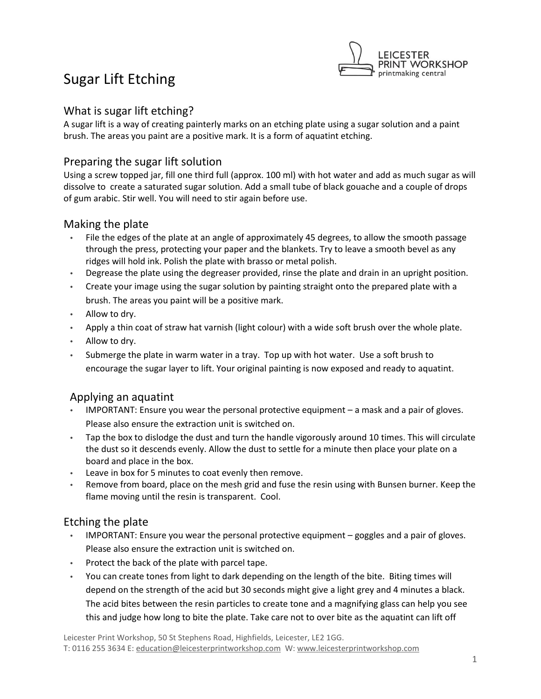

# Sugar Lift Etching

## What is sugar lift etching?

A sugar lift is a way of creating painterly marks on an etching plate using a sugar solution and a paint brush. The areas you paint are a positive mark. It is a form of aquatint etching.

## Preparing the sugar lift solution

Using a screw topped jar, fill one third full (approx. 100 ml) with hot water and add as much sugar as will dissolve to create a saturated sugar solution. Add a small tube of black gouache and a couple of drops of gum arabic. Stir well. You will need to stir again before use.

## Making the plate

- File the edges of the plate at an angle of approximately 45 degrees, to allow the smooth passage through the press, protecting your paper and the blankets. Try to leave a smooth bevel as any ridges will hold ink. Polish the plate with brasso or metal polish.
- Degrease the plate using the degreaser provided, rinse the plate and drain in an upright position.
- Create your image using the sugar solution by painting straight onto the prepared plate with a brush. The areas you paint will be a positive mark.
- Allow to dry.
- Apply a thin coat of straw hat varnish (light colour) with a wide soft brush over the whole plate.
- Allow to dry.
- Submerge the plate in warm water in a tray. Top up with hot water. Use a soft brush to encourage the sugar layer to lift. Your original painting is now exposed and ready to aquatint.

## Applying an aquatint

- IMPORTANT: Ensure you wear the personal protective equipment a mask and a pair of gloves. Please also ensure the extraction unit is switched on.
- Tap the box to dislodge the dust and turn the handle vigorously around 10 times. This will circulate the dust so it descends evenly. Allow the dust to settle for a minute then place your plate on a board and place in the box.
- Leave in box for 5 minutes to coat evenly then remove.
- Remove from board, place on the mesh grid and fuse the resin using with Bunsen burner. Keep the flame moving until the resin is transparent. Cool.

## Etching the plate

- IMPORTANT: Ensure you wear the personal protective equipment goggles and a pair of gloves. Please also ensure the extraction unit is switched on.
- Protect the back of the plate with parcel tape.
- You can create tones from light to dark depending on the length of the bite. Biting times will depend on the strength of the acid but 30 seconds might give a light grey and 4 minutes a black. The acid bites between the resin particles to create tone and a magnifying glass can help you see this and judge how long to bite the plate. Take care not to over bite as the aquatint can lift off